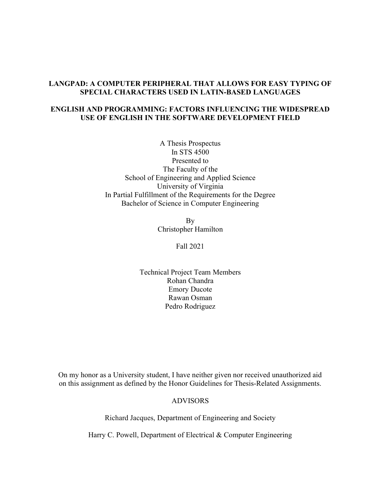## LANGPAD: A COMPUTER PERIPHERAL THAT ALLOWS FOR EASY TYPING OF SPECIAL CHARACTERS USED IN LATIN-BASED LANGUAGES

## ENGLISH AND PROGRAMMING: FACTORS INFLUENCING THE WIDESPREAD USE OF ENGLISH IN THE SOFTWARE DEVELOPMENT FIELD

A Thesis Prospectus In STS 4500 Presented to The Faculty of the School of Engineering and Applied Science University of Virginia In Partial Fulfillment of the Requirements for the Degree Bachelor of Science in Computer Engineering

> By Christopher Hamilton

> > Fall 2021

Technical Project Team Members Rohan Chandra Emory Ducote Rawan Osman Pedro Rodriguez

On my honor as a University student, I have neither given nor received unauthorized aid on this assignment as defined by the Honor Guidelines for Thesis-Related Assignments.

ADVISORS

Richard Jacques, Department of Engineering and Society

Harry C. Powell, Department of Electrical & Computer Engineering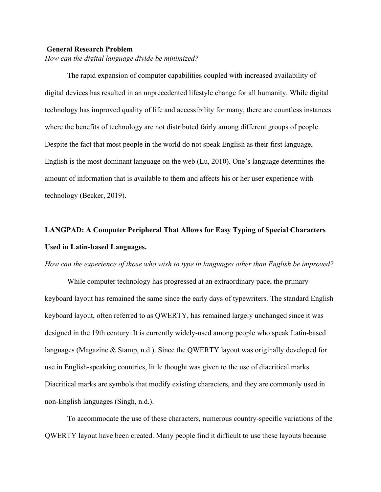#### General Research Problem

How can the digital language divide be minimized?

The rapid expansion of computer capabilities coupled with increased availability of digital devices has resulted in an unprecedented lifestyle change for all humanity. While digital technology has improved quality of life and accessibility for many, there are countless instances where the benefits of technology are not distributed fairly among different groups of people. Despite the fact that most people in the world do not speak English as their first language, English is the most dominant language on the web (Lu, 2010). One's language determines the amount of information that is available to them and affects his or her user experience with technology (Becker, 2019).

# LANGPAD: A Computer Peripheral That Allows for Easy Typing of Special Characters Used in Latin-based Languages.

#### How can the experience of those who wish to type in languages other than English be improved?

While computer technology has progressed at an extraordinary pace, the primary keyboard layout has remained the same since the early days of typewriters. The standard English keyboard layout, often referred to as QWERTY, has remained largely unchanged since it was designed in the 19th century. It is currently widely-used among people who speak Latin-based languages (Magazine & Stamp, n.d.). Since the QWERTY layout was originally developed for use in English-speaking countries, little thought was given to the use of diacritical marks. Diacritical marks are symbols that modify existing characters, and they are commonly used in non-English languages (Singh, n.d.).

 To accommodate the use of these characters, numerous country-specific variations of the QWERTY layout have been created. Many people find it difficult to use these layouts because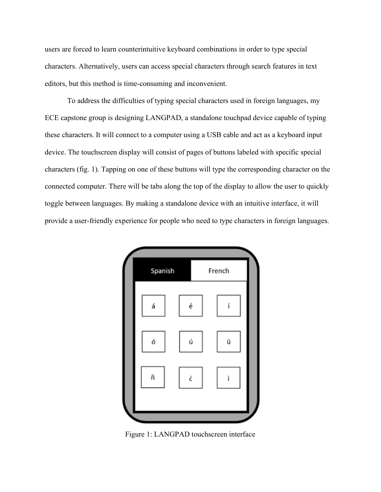users are forced to learn counterintuitive keyboard combinations in order to type special characters. Alternatively, users can access special characters through search features in text editors, but this method is time-consuming and inconvenient.

 To address the difficulties of typing special characters used in foreign languages, my ECE capstone group is designing LANGPAD, a standalone touchpad device capable of typing these characters. It will connect to a computer using a USB cable and act as a keyboard input device. The touchscreen display will consist of pages of buttons labeled with specific special characters (fig. 1). Tapping on one of these buttons will type the corresponding character on the connected computer. There will be tabs along the top of the display to allow the user to quickly toggle between languages. By making a standalone device with an intuitive interface, it will provide a user-friendly experience for people who need to type characters in foreign languages.



Figure 1: LANGPAD touchscreen interface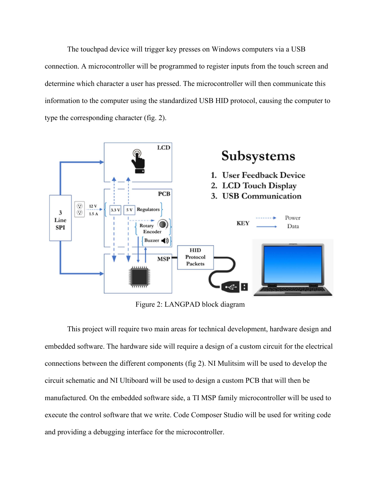The touchpad device will trigger key presses on Windows computers via a USB connection. A microcontroller will be programmed to register inputs from the touch screen and determine which character a user has pressed. The microcontroller will then communicate this information to the computer using the standardized USB HID protocol, causing the computer to type the corresponding character (fig. 2).



Figure 2: LANGPAD block diagram

This project will require two main areas for technical development, hardware design and embedded software. The hardware side will require a design of a custom circuit for the electrical connections between the different components (fig 2). NI Mulitsim will be used to develop the circuit schematic and NI Ultiboard will be used to design a custom PCB that will then be manufactured. On the embedded software side, a TI MSP family microcontroller will be used to execute the control software that we write. Code Composer Studio will be used for writing code and providing a debugging interface for the microcontroller.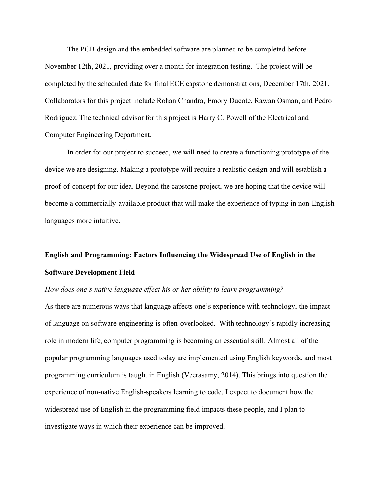The PCB design and the embedded software are planned to be completed before November 12th, 2021, providing over a month for integration testing. The project will be completed by the scheduled date for final ECE capstone demonstrations, December 17th, 2021. Collaborators for this project include Rohan Chandra, Emory Ducote, Rawan Osman, and Pedro Rodriguez. The technical advisor for this project is Harry C. Powell of the Electrical and Computer Engineering Department.

In order for our project to succeed, we will need to create a functioning prototype of the device we are designing. Making a prototype will require a realistic design and will establish a proof-of-concept for our idea. Beyond the capstone project, we are hoping that the device will become a commercially-available product that will make the experience of typing in non-English languages more intuitive.

## English and Programming: Factors Influencing the Widespread Use of English in the Software Development Field

#### How does one's native language effect his or her ability to learn programming?

As there are numerous ways that language affects one's experience with technology, the impact of language on software engineering is often-overlooked. With technology's rapidly increasing role in modern life, computer programming is becoming an essential skill. Almost all of the popular programming languages used today are implemented using English keywords, and most programming curriculum is taught in English (Veerasamy, 2014). This brings into question the experience of non-native English-speakers learning to code. I expect to document how the widespread use of English in the programming field impacts these people, and I plan to investigate ways in which their experience can be improved.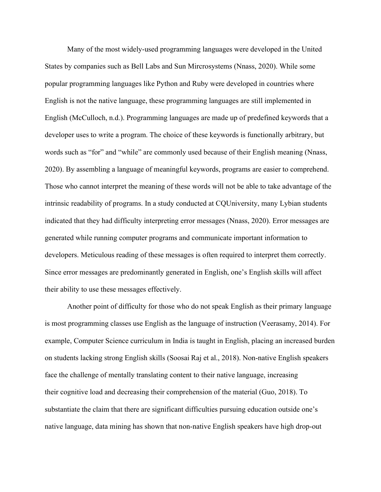Many of the most widely-used programming languages were developed in the United States by companies such as Bell Labs and Sun Mircrosystems (Nnass, 2020). While some popular programming languages like Python and Ruby were developed in countries where English is not the native language, these programming languages are still implemented in English (McCulloch, n.d.). Programming languages are made up of predefined keywords that a developer uses to write a program. The choice of these keywords is functionally arbitrary, but words such as "for" and "while" are commonly used because of their English meaning (Nnass, 2020). By assembling a language of meaningful keywords, programs are easier to comprehend. Those who cannot interpret the meaning of these words will not be able to take advantage of the intrinsic readability of programs. In a study conducted at CQUniversity, many Lybian students indicated that they had difficulty interpreting error messages (Nnass, 2020). Error messages are generated while running computer programs and communicate important information to developers. Meticulous reading of these messages is often required to interpret them correctly. Since error messages are predominantly generated in English, one's English skills will affect their ability to use these messages effectively.

 Another point of difficulty for those who do not speak English as their primary language is most programming classes use English as the language of instruction (Veerasamy, 2014). For example, Computer Science curriculum in India is taught in English, placing an increased burden on students lacking strong English skills (Soosai Raj et al., 2018). Non-native English speakers face the challenge of mentally translating content to their native language, increasing their cognitive load and decreasing their comprehension of the material (Guo, 2018). To substantiate the claim that there are significant difficulties pursuing education outside one's native language, data mining has shown that non-native English speakers have high drop-out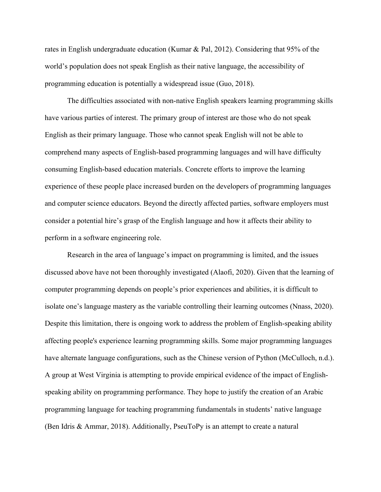rates in English undergraduate education (Kumar & Pal, 2012). Considering that 95% of the world's population does not speak English as their native language, the accessibility of programming education is potentially a widespread issue (Guo, 2018).

 The difficulties associated with non-native English speakers learning programming skills have various parties of interest. The primary group of interest are those who do not speak English as their primary language. Those who cannot speak English will not be able to comprehend many aspects of English-based programming languages and will have difficulty consuming English-based education materials. Concrete efforts to improve the learning experience of these people place increased burden on the developers of programming languages and computer science educators. Beyond the directly affected parties, software employers must consider a potential hire's grasp of the English language and how it affects their ability to perform in a software engineering role.

 Research in the area of language's impact on programming is limited, and the issues discussed above have not been thoroughly investigated (Alaofi, 2020). Given that the learning of computer programming depends on people's prior experiences and abilities, it is difficult to isolate one's language mastery as the variable controlling their learning outcomes (Nnass, 2020). Despite this limitation, there is ongoing work to address the problem of English-speaking ability affecting people's experience learning programming skills. Some major programming languages have alternate language configurations, such as the Chinese version of Python (McCulloch, n.d.). A group at West Virginia is attempting to provide empirical evidence of the impact of Englishspeaking ability on programming performance. They hope to justify the creation of an Arabic programming language for teaching programming fundamentals in students' native language (Ben Idris & Ammar, 2018). Additionally, PseuToPy is an attempt to create a natural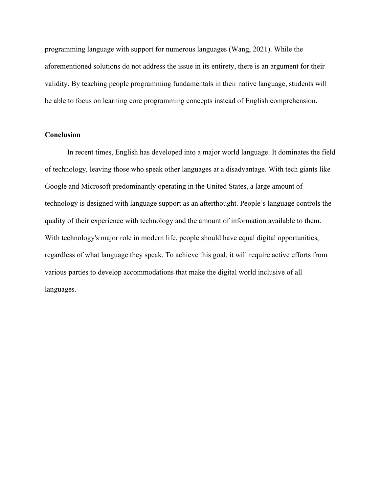programming language with support for numerous languages (Wang, 2021). While the aforementioned solutions do not address the issue in its entirety, there is an argument for their validity. By teaching people programming fundamentals in their native language, students will be able to focus on learning core programming concepts instead of English comprehension.

### **Conclusion**

 In recent times, English has developed into a major world language. It dominates the field of technology, leaving those who speak other languages at a disadvantage. With tech giants like Google and Microsoft predominantly operating in the United States, a large amount of technology is designed with language support as an afterthought. People's language controls the quality of their experience with technology and the amount of information available to them. With technology's major role in modern life, people should have equal digital opportunities, regardless of what language they speak. To achieve this goal, it will require active efforts from various parties to develop accommodations that make the digital world inclusive of all languages.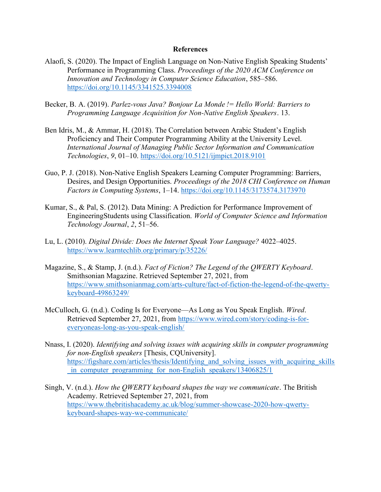#### References

- Alaofi, S. (2020). The Impact of English Language on Non-Native English Speaking Students' Performance in Programming Class. Proceedings of the 2020 ACM Conference on Innovation and Technology in Computer Science Education, 585–586. https://doi.org/10.1145/3341525.3394008
- Becker, B. A. (2019). Parlez-vous Java? Bonjour La Monde != Hello World: Barriers to Programming Language Acquisition for Non-Native English Speakers. 13.
- Ben Idris, M., & Ammar, H. (2018). The Correlation between Arabic Student's English Proficiency and Their Computer Programming Ability at the University Level. International Journal of Managing Public Sector Information and Communication Technologies, 9, 01–10. https://doi.org/10.5121/ijmpict.2018.9101
- Guo, P. J. (2018). Non-Native English Speakers Learning Computer Programming: Barriers, Desires, and Design Opportunities. Proceedings of the 2018 CHI Conference on Human Factors in Computing Systems, 1–14. https://doi.org/10.1145/3173574.3173970
- Kumar, S., & Pal, S. (2012). Data Mining: A Prediction for Performance Improvement of EngineeringStudents using Classification. World of Computer Science and Information Technology Journal, 2, 51–56.
- Lu, L. (2010). Digital Divide: Does the Internet Speak Your Language? 4022–4025. https://www.learntechlib.org/primary/p/35226/
- Magazine, S., & Stamp, J. (n.d.). Fact of Fiction? The Legend of the OWERTY Keyboard. Smithsonian Magazine. Retrieved September 27, 2021, from https://www.smithsonianmag.com/arts-culture/fact-of-fiction-the-legend-of-the-qwertykeyboard-49863249/
- McCulloch, G. (n.d.). Coding Is for Everyone—As Long as You Speak English. Wired. Retrieved September 27, 2021, from https://www.wired.com/story/coding-is-foreveryoneas-long-as-you-speak-english/
- Nnass, I. (2020). Identifying and solving issues with acquiring skills in computer programming for non-English speakers [Thesis, CQUniversity]. https://figshare.com/articles/thesis/Identifying and solving issues with acquiring skills in computer programming for non-English speakers/13406825/1
- Singh, V. (n.d.). How the QWERTY keyboard shapes the way we communicate. The British Academy. Retrieved September 27, 2021, from https://www.thebritishacademy.ac.uk/blog/summer-showcase-2020-how-qwertykeyboard-shapes-way-we-communicate/